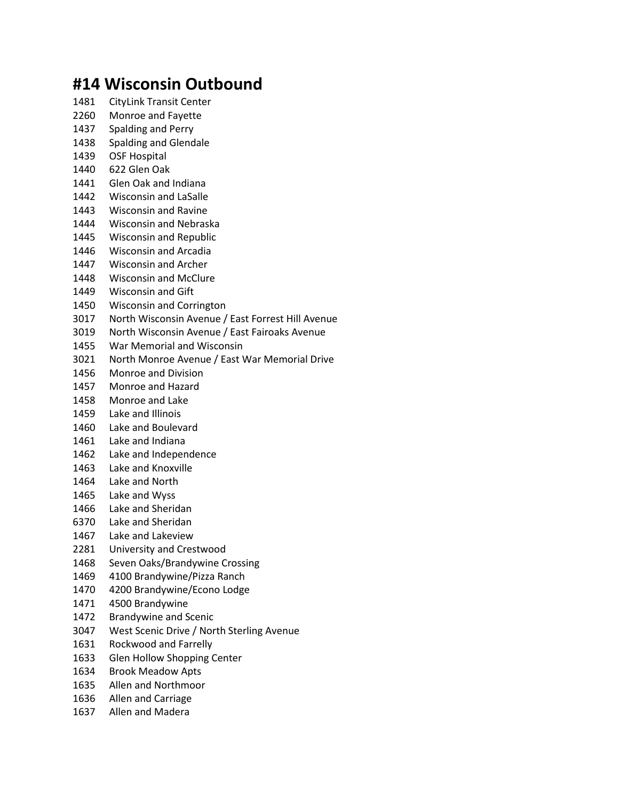## **#14 Wisconsin Outbound**

- CityLink Transit Center
- Monroe and Fayette
- Spalding and Perry
- Spalding and Glendale
- OSF Hospital
- 622 Glen Oak
- Glen Oak and Indiana
- Wisconsin and LaSalle
- Wisconsin and Ravine
- Wisconsin and Nebraska
- Wisconsin and Republic
- Wisconsin and Arcadia
- Wisconsin and Archer
- Wisconsin and McClure
- Wisconsin and Gift
- Wisconsin and Corrington
- North Wisconsin Avenue / East Forrest Hill Avenue
- North Wisconsin Avenue / East Fairoaks Avenue
- War Memorial and Wisconsin
- North Monroe Avenue / East War Memorial Drive
- Monroe and Division
- Monroe and Hazard
- Monroe and Lake
- Lake and Illinois
- Lake and Boulevard
- Lake and Indiana
- Lake and Independence
- Lake and Knoxville
- Lake and North
- Lake and Wyss
- Lake and Sheridan
- Lake and Sheridan
- Lake and Lakeview
- University and Crestwood
- Seven Oaks/Brandywine Crossing
- 4100 Brandywine/Pizza Ranch
- 4200 Brandywine/Econo Lodge
- 4500 Brandywine
- Brandywine and Scenic
- West Scenic Drive / North Sterling Avenue
- Rockwood and Farrelly
- Glen Hollow Shopping Center
- Brook Meadow Apts
- Allen and Northmoor
- Allen and Carriage
- Allen and Madera